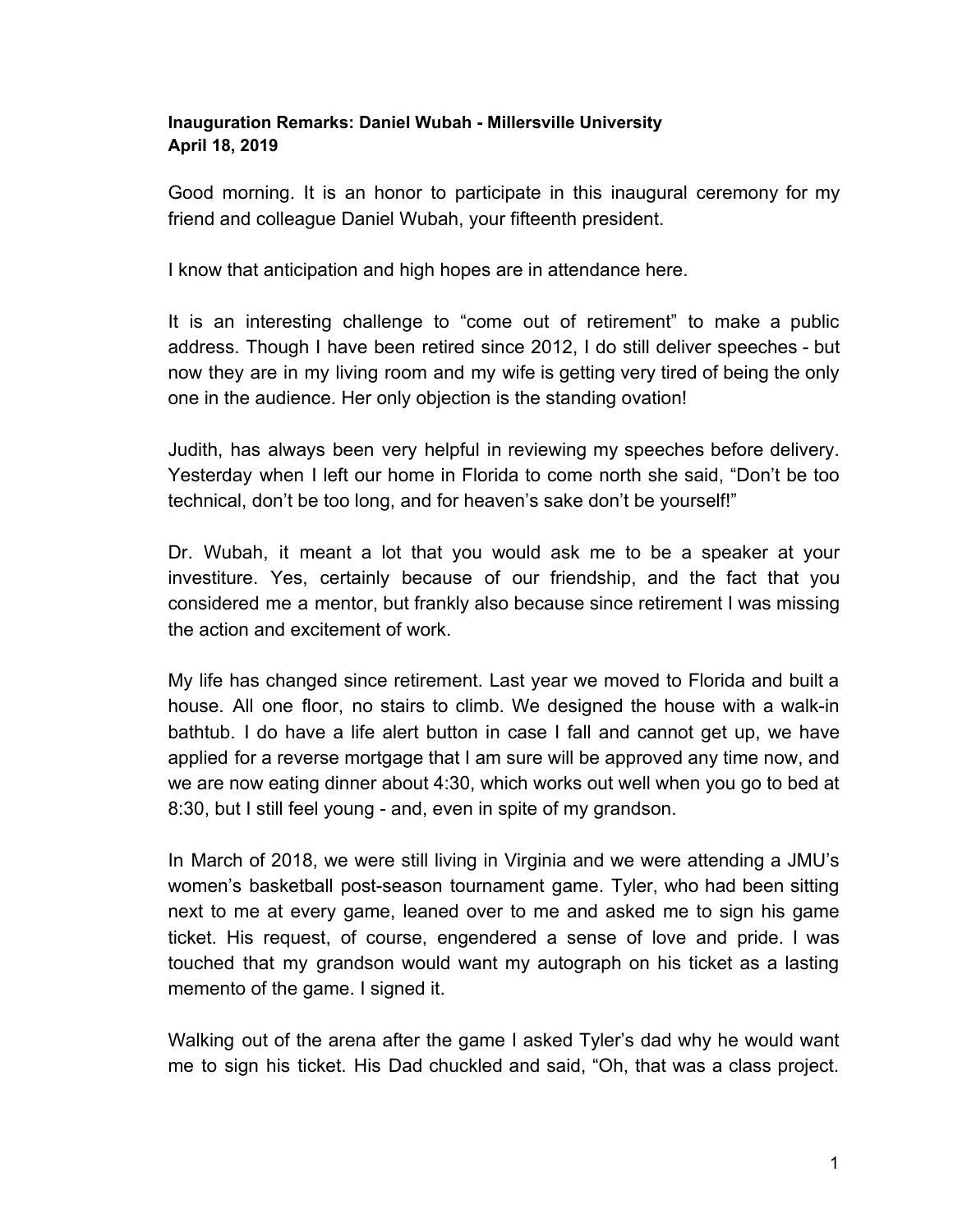## **Inauguration Remarks: Daniel Wubah - Millersville University April 18, 2019**

Good morning. It is an honor to participate in this inaugural ceremony for my friend and colleague Daniel Wubah, your fifteenth president.

I know that anticipation and high hopes are in attendance here.

It is an interesting challenge to "come out of retirement" to make a public address. Though I have been retired since 2012, I do still deliver speeches - but now they are in my living room and my wife is getting very tired of being the only one in the audience. Her only objection is the standing ovation!

Judith, has always been very helpful in reviewing my speeches before delivery. Yesterday when I left our home in Florida to come north she said, "Don't be too technical, don't be too long, and for heaven's sake don't be yourself!"

Dr. Wubah, it meant a lot that you would ask me to be a speaker at your investiture. Yes, certainly because of our friendship, and the fact that you considered me a mentor, but frankly also because since retirement I was missing the action and excitement of work.

My life has changed since retirement. Last year we moved to Florida and built a house. All one floor, no stairs to climb. We designed the house with a walk-in bathtub. I do have a life alert button in case I fall and cannot get up, we have applied for a reverse mortgage that I am sure will be approved any time now, and we are now eating dinner about 4:30, which works out well when you go to bed at 8:30, but I still feel young - and, even in spite of my grandson.

In March of 2018, we were still living in Virginia and we were attending a JMU's women's basketball post-season tournament game. Tyler, who had been sitting next to me at every game, leaned over to me and asked me to sign his game ticket. His request, of course, engendered a sense of love and pride. I was touched that my grandson would want my autograph on his ticket as a lasting memento of the game. I signed it.

Walking out of the arena after the game I asked Tyler's dad why he would want me to sign his ticket. His Dad chuckled and said, "Oh, that was a class project.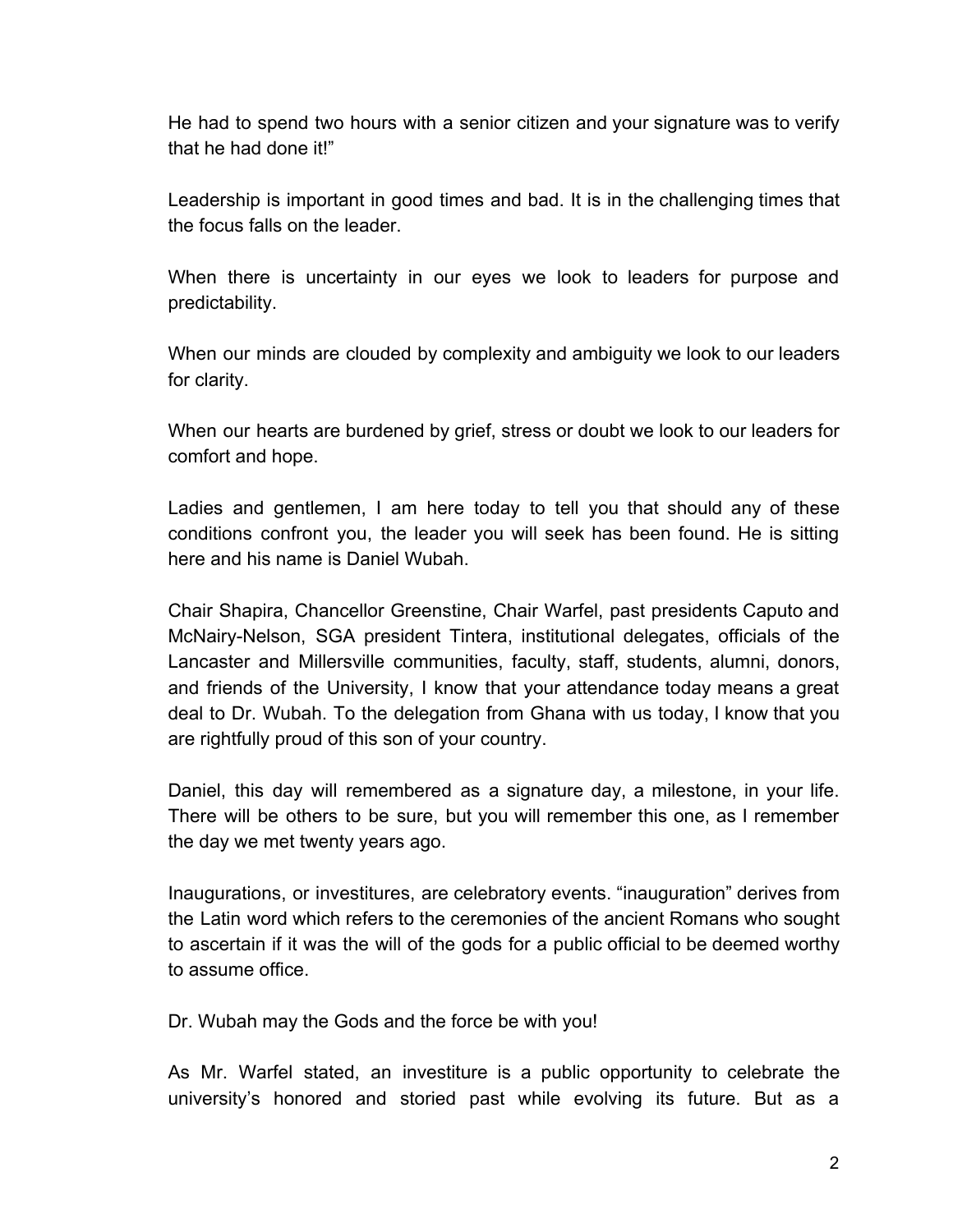He had to spend two hours with a senior citizen and your signature was to verify that he had done it!"

Leadership is important in good times and bad. It is in the challenging times that the focus falls on the leader.

When there is uncertainty in our eyes we look to leaders for purpose and predictability.

When our minds are clouded by complexity and ambiguity we look to our leaders for clarity.

When our hearts are burdened by grief, stress or doubt we look to our leaders for comfort and hope.

Ladies and gentlemen, I am here today to tell you that should any of these conditions confront you, the leader you will seek has been found. He is sitting here and his name is Daniel Wubah.

Chair Shapira, Chancellor Greenstine, Chair Warfel, past presidents Caputo and McNairy-Nelson, SGA president Tintera, institutional delegates, officials of the Lancaster and Millersville communities, faculty, staff, students, alumni, donors, and friends of the University, I know that your attendance today means a great deal to Dr. Wubah. To the delegation from Ghana with us today, I know that you are rightfully proud of this son of your country.

Daniel, this day will remembered as a signature day, a milestone, in your life. There will be others to be sure, but you will remember this one, as I remember the day we met twenty years ago.

Inaugurations, or investitures, are celebratory events. "inauguration" derives from the Latin word which refers to the ceremonies of the ancient Romans who sought to ascertain if it was the will of the gods for a public official to be deemed worthy to assume office.

Dr. Wubah may the Gods and the force be with you!

As Mr. Warfel stated, an investiture is a public opportunity to celebrate the university's honored and storied past while evolving its future. But as a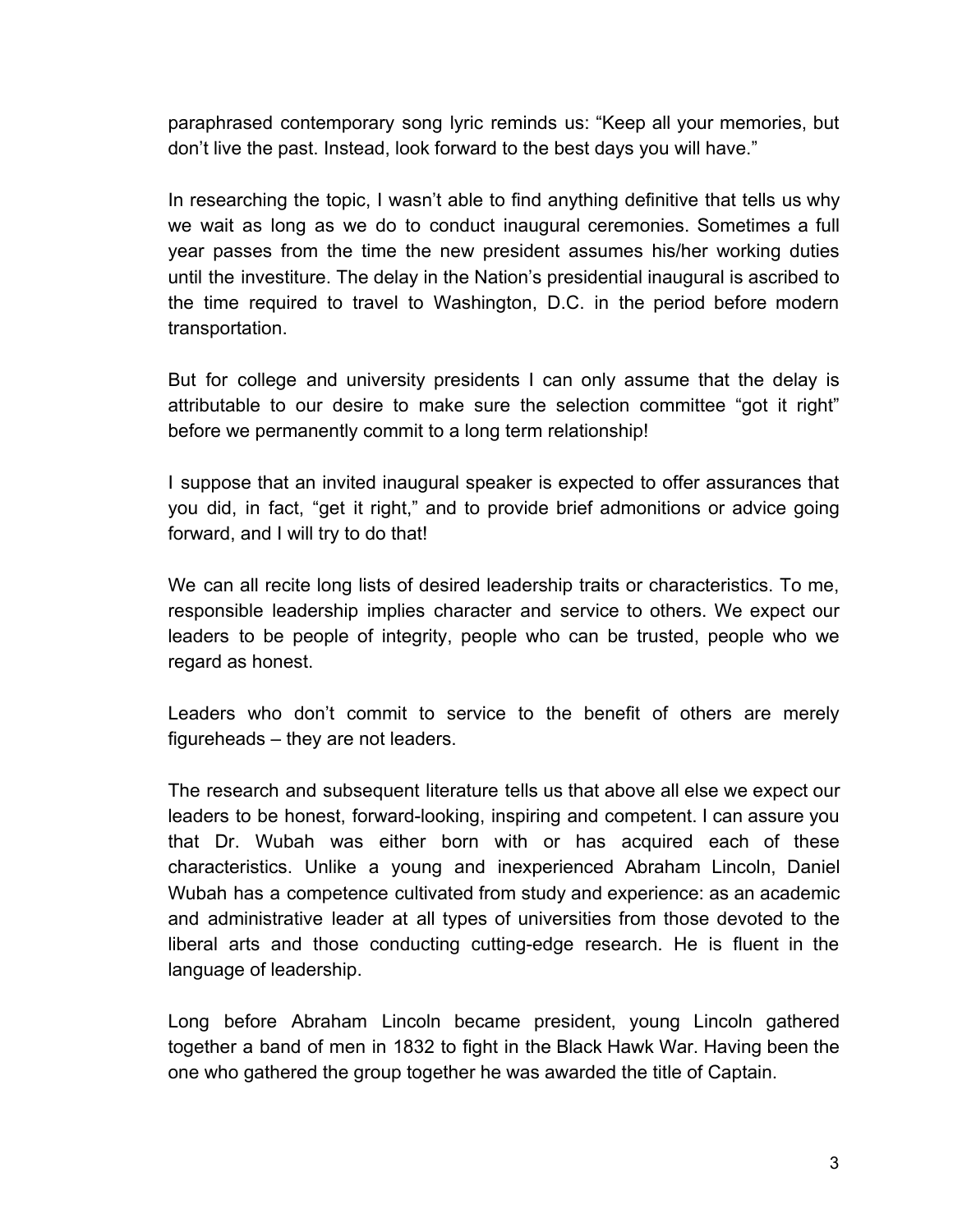paraphrased contemporary song lyric reminds us: "Keep all your memories, but don't live the past. Instead, look forward to the best days you will have."

In researching the topic, I wasn't able to find anything definitive that tells us why we wait as long as we do to conduct inaugural ceremonies. Sometimes a full year passes from the time the new president assumes his/her working duties until the investiture. The delay in the Nation's presidential inaugural is ascribed to the time required to travel to Washington, D.C. in the period before modern transportation.

But for college and university presidents I can only assume that the delay is attributable to our desire to make sure the selection committee "got it right" before we permanently commit to a long term relationship!

I suppose that an invited inaugural speaker is expected to offer assurances that you did, in fact, "get it right," and to provide brief admonitions or advice going forward, and I will try to do that!

We can all recite long lists of desired leadership traits or characteristics. To me, responsible leadership implies character and service to others. We expect our leaders to be people of integrity, people who can be trusted, people who we regard as honest.

Leaders who don't commit to service to the benefit of others are merely figureheads – they are not leaders.

The research and subsequent literature tells us that above all else we expect our leaders to be honest, forward-looking, inspiring and competent. I can assure you that Dr. Wubah was either born with or has acquired each of these characteristics. Unlike a young and inexperienced Abraham Lincoln, Daniel Wubah has a competence cultivated from study and experience: as an academic and administrative leader at all types of universities from those devoted to the liberal arts and those conducting cutting-edge research. He is fluent in the language of leadership.

Long before Abraham Lincoln became president, young Lincoln gathered together a band of men in 1832 to fight in the Black Hawk War. Having been the one who gathered the group together he was awarded the title of Captain.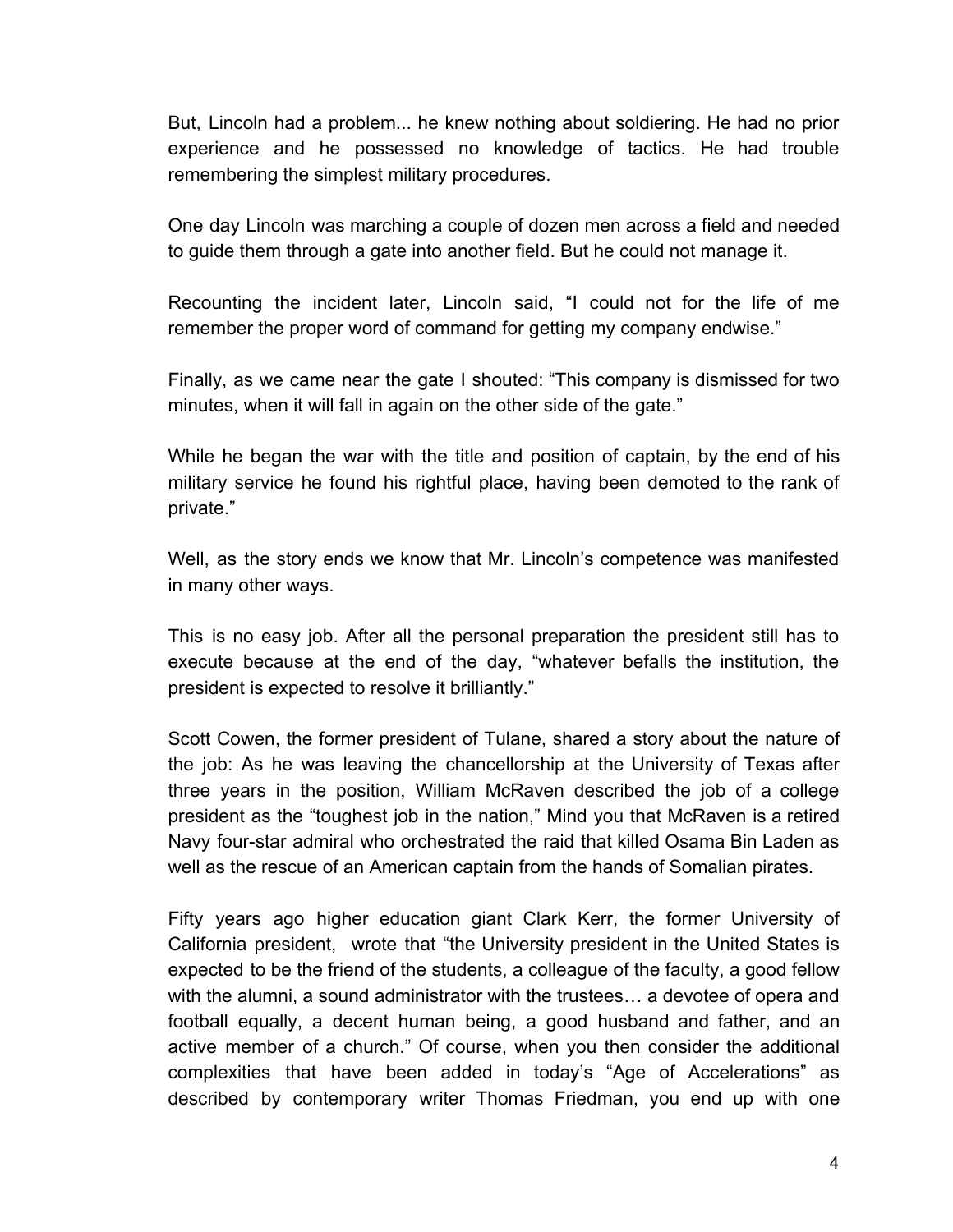But, Lincoln had a problem... he knew nothing about soldiering. He had no prior experience and he possessed no knowledge of tactics. He had trouble remembering the simplest military procedures.

One day Lincoln was marching a couple of dozen men across a field and needed to guide them through a gate into another field. But he could not manage it.

Recounting the incident later, Lincoln said, "I could not for the life of me remember the proper word of command for getting my company endwise."

Finally, as we came near the gate I shouted: "This company is dismissed for two minutes, when it will fall in again on the other side of the gate."

While he began the war with the title and position of captain, by the end of his military service he found his rightful place, having been demoted to the rank of private."

Well, as the story ends we know that Mr. Lincoln's competence was manifested in many other ways.

This is no easy job. After all the personal preparation the president still has to execute because at the end of the day, "whatever befalls the institution, the president is expected to resolve it brilliantly."

Scott Cowen, the former president of Tulane, shared a story about the nature of the job: As he was leaving the chancellorship at the University of Texas after three years in the position, William McRaven described the job of a college president as the "toughest job in the nation," Mind you that McRaven is a retired Navy four-star admiral who orchestrated the raid that killed Osama Bin Laden as well as the rescue of an American captain from the hands of Somalian pirates.

Fifty years ago higher education giant Clark Kerr, the former University of California president, wrote that "the University president in the United States is expected to be the friend of the students, a colleague of the faculty, a good fellow with the alumni, a sound administrator with the trustees… a devotee of opera and football equally, a decent human being, a good husband and father, and an active member of a church." Of course, when you then consider the additional complexities that have been added in today's "Age of Accelerations" as described by contemporary writer Thomas Friedman, you end up with one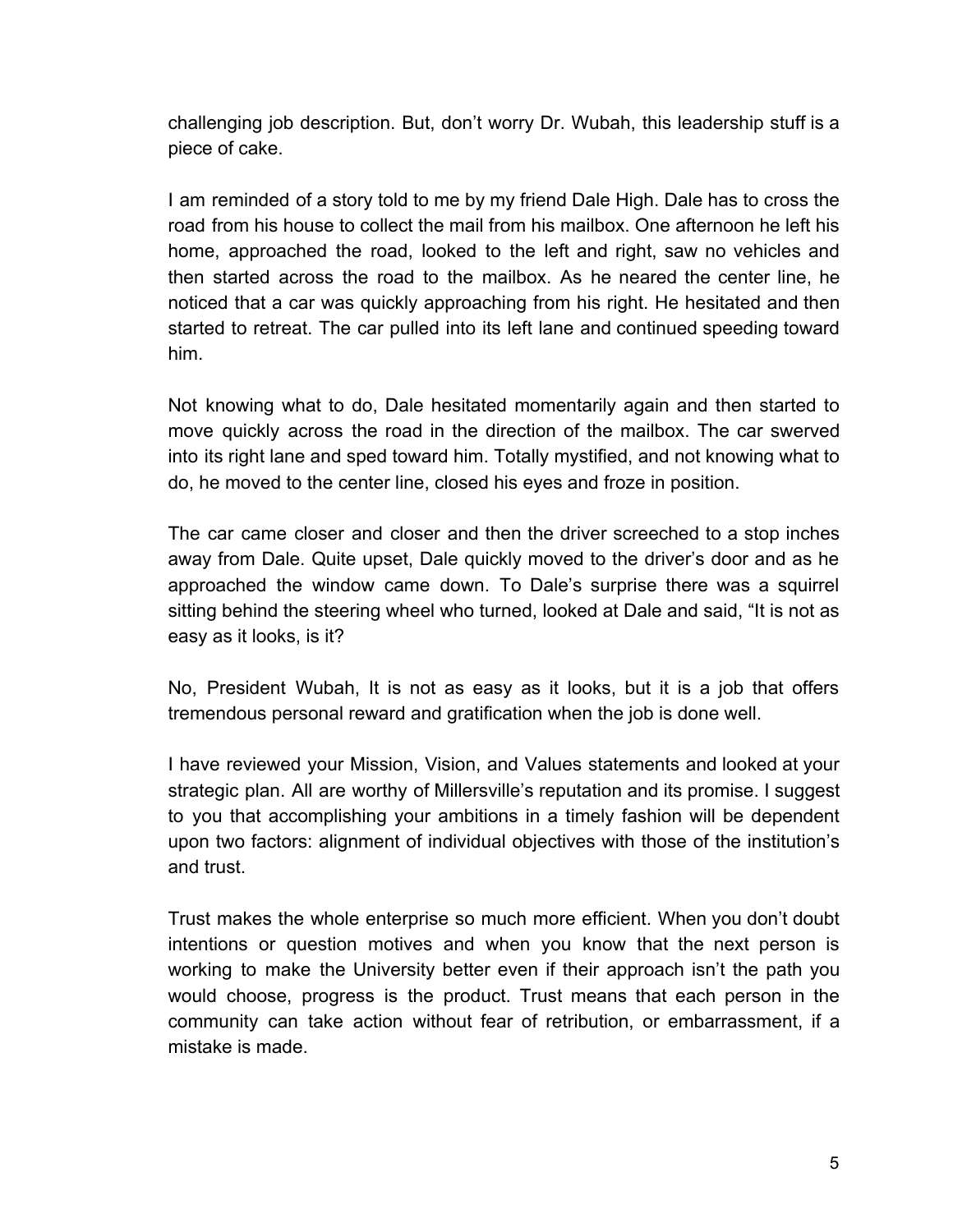challenging job description. But, don't worry Dr. Wubah, this leadership stuff is a piece of cake.

I am reminded of a story told to me by my friend Dale High. Dale has to cross the road from his house to collect the mail from his mailbox. One afternoon he left his home, approached the road, looked to the left and right, saw no vehicles and then started across the road to the mailbox. As he neared the center line, he noticed that a car was quickly approaching from his right. He hesitated and then started to retreat. The car pulled into its left lane and continued speeding toward him.

Not knowing what to do, Dale hesitated momentarily again and then started to move quickly across the road in the direction of the mailbox. The car swerved into its right lane and sped toward him. Totally mystified, and not knowing what to do, he moved to the center line, closed his eyes and froze in position.

The car came closer and closer and then the driver screeched to a stop inches away from Dale. Quite upset, Dale quickly moved to the driver's door and as he approached the window came down. To Dale's surprise there was a squirrel sitting behind the steering wheel who turned, looked at Dale and said, "It is not as easy as it looks, is it?

No, President Wubah, It is not as easy as it looks, but it is a job that offers tremendous personal reward and gratification when the job is done well.

I have reviewed your Mission, Vision, and Values statements and looked at your strategic plan. All are worthy of Millersville's reputation and its promise. I suggest to you that accomplishing your ambitions in a timely fashion will be dependent upon two factors: alignment of individual objectives with those of the institution's and trust.

Trust makes the whole enterprise so much more efficient. When you don't doubt intentions or question motives and when you know that the next person is working to make the University better even if their approach isn't the path you would choose, progress is the product. Trust means that each person in the community can take action without fear of retribution, or embarrassment, if a mistake is made.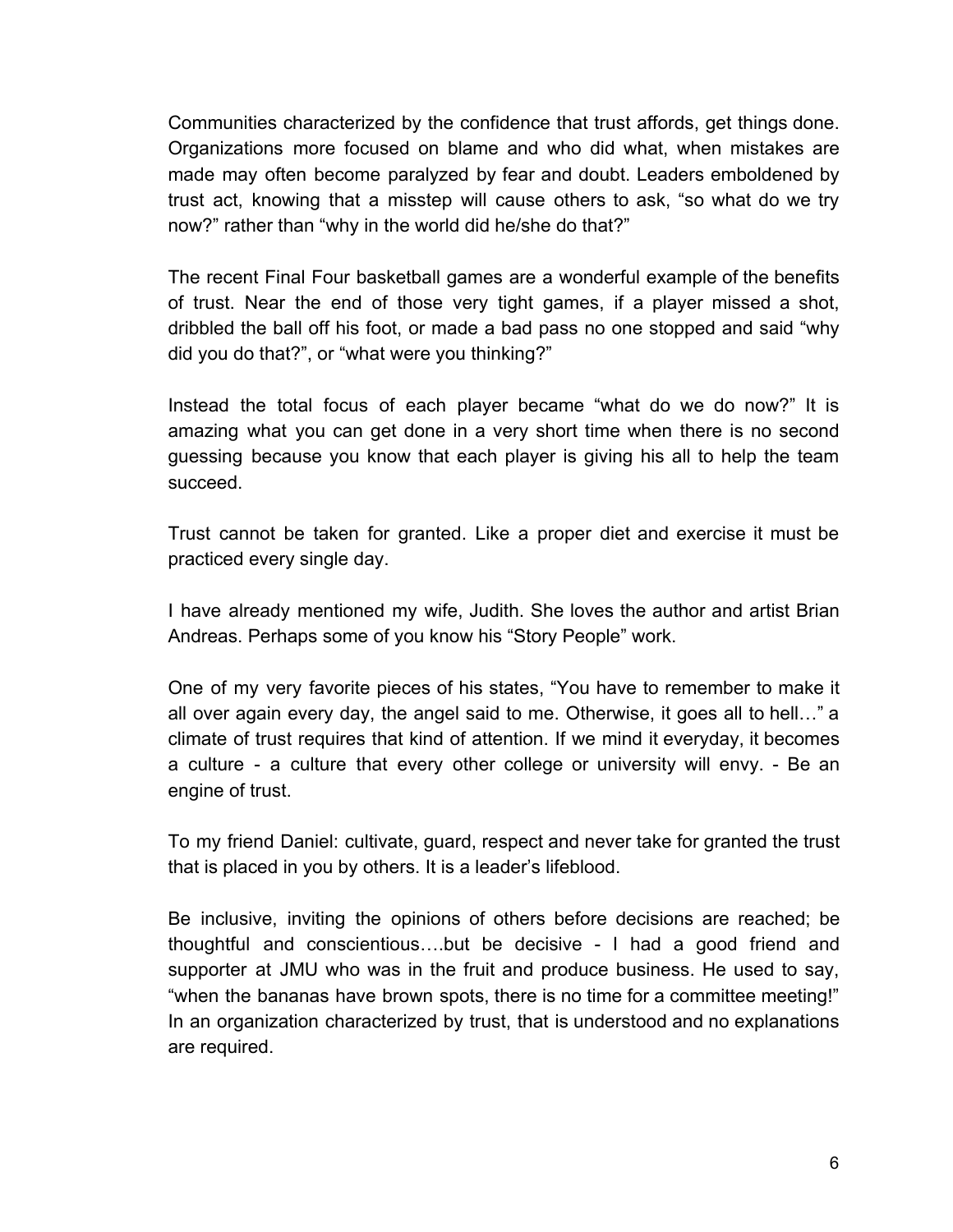Communities characterized by the confidence that trust affords, get things done. Organizations more focused on blame and who did what, when mistakes are made may often become paralyzed by fear and doubt. Leaders emboldened by trust act, knowing that a misstep will cause others to ask, "so what do we try now?" rather than "why in the world did he/she do that?"

The recent Final Four basketball games are a wonderful example of the benefits of trust. Near the end of those very tight games, if a player missed a shot, dribbled the ball off his foot, or made a bad pass no one stopped and said "why did you do that?", or "what were you thinking?"

Instead the total focus of each player became "what do we do now?" It is amazing what you can get done in a very short time when there is no second guessing because you know that each player is giving his all to help the team succeed.

Trust cannot be taken for granted. Like a proper diet and exercise it must be practiced every single day.

I have already mentioned my wife, Judith. She loves the author and artist Brian Andreas. Perhaps some of you know his "Story People" work.

One of my very favorite pieces of his states, "You have to remember to make it all over again every day, the angel said to me. Otherwise, it goes all to hell…" a climate of trust requires that kind of attention. If we mind it everyday, it becomes a culture - a culture that every other college or university will envy. - Be an engine of trust.

To my friend Daniel: cultivate, guard, respect and never take for granted the trust that is placed in you by others. It is a leader's lifeblood.

Be inclusive, inviting the opinions of others before decisions are reached; be thoughtful and conscientious….but be decisive - I had a good friend and supporter at JMU who was in the fruit and produce business. He used to say, "when the bananas have brown spots, there is no time for a committee meeting!" In an organization characterized by trust, that is understood and no explanations are required.